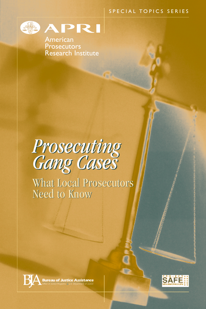#### SPECIAL TOPICS SERIES



American **Prosecutors** Research Institute



What Local Prosecutors What Local Prosecutors Need to Know Need to Know



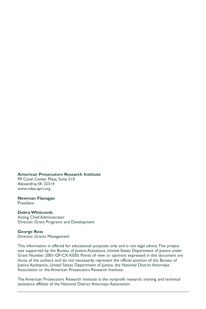#### **American Prosecutors Research Institute**

99 Canal Center Plaza, Suite 510 Alexandria,VA 22314 www.ndaa-apri.org

**Newman Flanagan President** 

#### **Debra Whitcomb**

Acting Chief Administrator Director, Grant Programs and Development

#### **George Ross**

Director, Grants Management

This information is offered for educational purposes only and is not legal advice.This project was supported by the Bureau of Justice Assistance, United States Department of Justice under Grant Number 2001-GP-CX-K050. Points of view or opinions expressed in this document are those of the authors and do not necessarily represent the official position of the Bureau of Justice Assistance, United States Department of Justice, the National District Attorneys Association or the American Prosecutors Research Institute.

The American Prosecutors Research Institute is the nonprofit research, training and technical assistance affiliate of the National District Attorneys Association.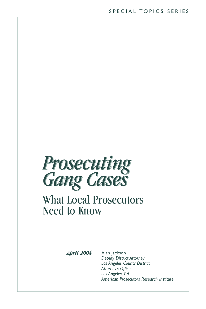

# What Local Prosecutors Need to Know

*April 2004*

Alan Jackson *Deputy District Attorney Los Angeles County District Attorney's Office Los Angeles, CA American Prosecutors Research Institute*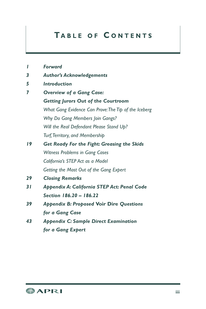# **T ABLE OF C ONTENTS**

| 3  | <b>Author's Acknowledgements</b>                     |
|----|------------------------------------------------------|
| 5  | <b>Introduction</b>                                  |
| 7  | <b>Overview of a Gang Case:</b>                      |
|    | <b>Getting Jurors Out of the Courtroom</b>           |
|    | What Gang Evidence Can Prove: The Tip of the Iceberg |
|    | Why Do Gang Members Join Gangs?                      |
|    | Will the Real Defendant Please Stand Up?             |
|    | Turf, Territory, and Membership                      |
| 19 | <b>Get Ready For the Fight: Greasing the Skids</b>   |
|    | <b>Witness Problems in Gang Cases</b>                |
|    | California's STEP Act as a Model                     |
|    | Getting the Most Out of the Gang Expert              |
| 29 | <b>Closing Remarks</b>                               |
| 31 | Appendix A: California STEP Act: Penal Code          |
|    | Section 186.20 - 186.22                              |
| 39 | <b>Appendix B: Proposed Voir Dire Questions</b>      |
|    | for a Gang Case                                      |
| 43 | <b>Appendix C: Sample Direct Examination</b>         |
|    | for a Gang Expert                                    |



*1 Forward*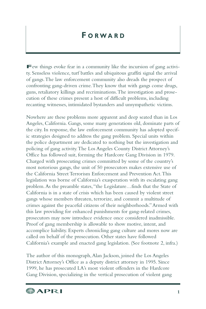### **F ORWARD**

**F**ew things evoke fear in a community like the incursion of gang activity. Senseless violence, turf battles and ubiquitous graffiti signal the arrival of gangs.The law enforcement community also dreads the prospect of confronting gang-driven crime.They know that with gangs come drugs, guns, retaliatory killings and recriminations.The investigation and prosecution of these crimes present a host of difficult problems, including recanting witnesses, intimidated bystanders and unsympathetic victims.

Nowhere are these problems more apparent and deep seated than in Los Angeles, California. Gangs, some many generations old, dominate parts of the city. In response, the law enforcement community has adopted specific strategies designed to address the gang problem. Special units within the police department are dedicated to nothing but the investigation and policing of gang activity.The Los Angeles County District Attorney's Office has followed suit, forming the Hardcore Gang Division in 1979. Charged with prosecuting crimes committed by some of the country's most notorious gangs, the unit of 50 prosecutors makes extensive use of the California Street Terrorism Enforcement and Prevention Act.This legislation was borne of California's exasperation with its escalating gang problem.As the preamble states,"the Legislature…finds that the State of California is in a state of crisis which has been caused by violent street gangs whose members threaten, terrorize, and commit a multitude of crimes against the peaceful citizens of their neighborhoods."Armed with this law providing for enhanced punishments for gang-related crimes, prosecutors may now introduce evidence once considered inadmissible. Proof of gang membership is allowable to show motive, intent, and accomplice liability. Experts chronicling gang culture and mores now are called on behalf of the prosecution. Other states have followed California's example and enacted gang legislation. (See footnote 2, infra.)

The author of this monograph,Alan Jackson, joined the Los Angeles District Attorney's Office as a deputy district attorney in 1995. Since 1999, he has prosecuted LA's most violent offenders in the Hardcore Gang Division, specializing in the vertical prosecution of violent gang

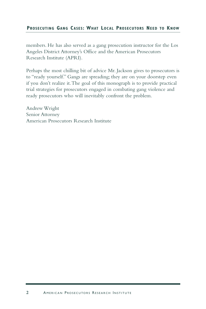#### **PROSECUTING GANG CASES: WHAT LOCAL PROSECUTORS NEED TO KNOW**

members. He has also served as a gang prosecution instructor for the Los Angeles District Attorney's Office and the American Prosecutors Research Institute (APRI).

Perhaps the most chilling bit of advice Mr. Jackson gives to prosecutors is to "ready yourself." Gangs are spreading; they are on your doorstep even if you don't realize it.The goal of this monograph is to provide practical trial strategies for prosecutors engaged in combating gang violence and ready prosecutors who will inevitably confront the problem.

Andrew Wright Senior Attorney American Prosecutors Research Institute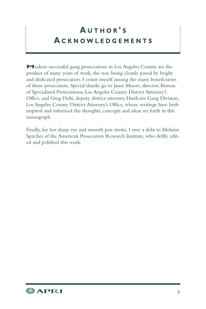# **A UTHOR ' S A CKNOWLEDGEMENTS**

**M**odern successful gang prosecutions in Los Angeles County are the product of many years of work, the way being cleanly paved by bright and dedicated prosecutors. I count myself among the many beneficiaries of those prosecutors. Special thanks go to Janet Moore, director, Bureau of Specialized Prosecutions, Los Angeles County District Attorney's Office, and Greg Dohi, deputy district attorney, Hardcore Gang Division, Los Angeles County District Attorney's Office, whose writings have both inspired and informed the thoughts, concepts and ideas set forth in this monograph.

Finally, for her sharp eye and smooth pen stroke, I owe a debt to Melanie Spuches of the American Prosecutors Research Institute, who deftly edited and polished this work.

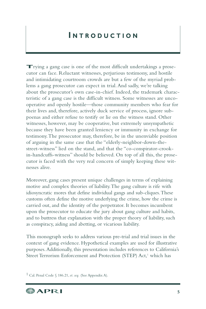### **I NTRODUCTION**

**T**rying a gang case is one of the most difficult undertakings a prosecutor can face. Reluctant witnesses, perjurious testimony, and hostile and intimidating courtroom crowds are but a few of the myriad problems a gang prosecutor can expect in trial. And sadly, we're talking about the prosecutor's own case-in-chief. Indeed, the trademark characteristic of a gang case is the difficult witness. Some witnesses are uncooperative and openly hostile—those community members who fear for their lives and, therefore, actively duck service of process, ignore subpoenas and either refuse to testify or lie on the witness stand. Other witnesses, however, may be cooperative, but extremely unsympathetic because they have been granted leniency or immunity in exchange for testimony.The prosecutor may, therefore, be in the unenviable position of arguing in the same case that the "elderly-neighbor-down-thestreet-witness" lied on the stand, and that the "co-conspirator-crookin-handcuffs-witness" should be believed. On top of all this, the prosecutor is faced with the very real concern of simply keeping these witnesses alive.

Moreover, gang cases present unique challenges in terms of explaining motive and complex theories of liability.The gang culture is rife with idiosyncratic mores that define individual gangs and sub-cliques.These customs often define the motive underlying the crime, how the crime is carried out, and the identity of the perpetrator. It becomes incumbent upon the prosecutor to educate the jury about gang culture and habits, and to buttress that explanation with the proper theory of liability, such as conspiracy, aiding and abetting, or vicarious liability.

This monograph seeks to address various pre-trial and trial issues in the context of gang evidence. Hypothetical examples are used for illustrative purposes.Additionally, this presentation includes references to California's Street Terrorism Enforcement and Protection (STEP) Act,<sup>1</sup> which has

1 Cal. Penal Code § 186.21, *et. seq.* (See Appendix A).

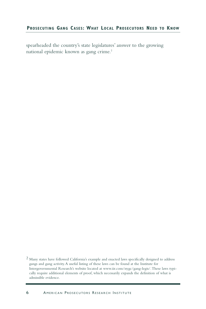spearheaded the country's state legislatures' answer to the growing national epidemic known as gang crime.<sup>2</sup>

<sup>2</sup> Many states have followed California's example and enacted laws specifically designed to address gangs and gang activity.A useful listing of these laws can be found at the Institute for Intergovernmental Research's website located at www.iir.com/nygc/gang-legis/.These laws typically require additional elements of proof, which necessarily expands the definition of what is admissible evidence.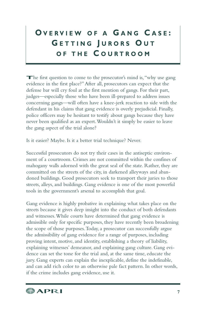# **O VERVIEW OF A G ANG C ASE : G ETTING J URORS O U T OF THE C OURTROOM**

The first question to come to the prosecutor's mind is, "why use gang evidence in the first place?"After all, prosecutors can expect that the defense bar will cry foul at the first mention of gangs. For their part, judges—especially those who have been ill-prepared to address issues concerning gangs—will often have a knee-jerk reaction to side with the defendant in his claims that gang evidence is overly prejudicial. Finally, police officers may be hesitant to testify about gangs because they have never been qualified as an expert.Wouldn't it simply be easier to leave the gang aspect of the trial alone?

Is it easier? Maybe. Is it a better trial technique? Never.

Successful prosecutors do not try their cases in the antiseptic environment of a courtroom. Crimes are not committed within the confines of mahogany walls adorned with the great seal of the state. Rather, they are committed on the streets of the city, in darkened alleyways and abandoned buildings. Good prosecutors seek to transport their juries to those streets, alleys, and buildings. Gang evidence is one of the most powerful tools in the government's arsenal to accomplish that goal.

Gang evidence is highly probative in explaining what takes place on the streets because it gives deep insight into the conduct of both defendants and witnesses.While courts have determined that gang evidence is admissible only for specific purposes, they have recently been broadening the scope of those purposes.Today, a prosecutor can successfully argue the admissibility of gang evidence for a range of purposes, including proving intent, motive, and identity, establishing a theory of liability, explaining witnesses' demeanor, and explaining gang culture. Gang evidence can set the tone for the trial and, at the same time, educate the jury. Gang experts can explain the inexplicable, define the indefinable, and can add rich color to an otherwise pale fact pattern. In other words, if the crime includes gang evidence, use it.

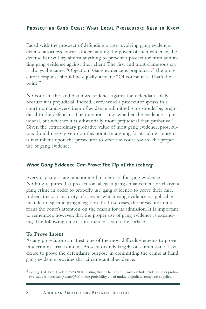Faced with the prospect of defending a case involving gang evidence, defense attorneys cower. Understanding the power of such evidence, the defense bar will try almost anything to prevent a prosecutor from admitting gang evidence against their client.The first and most clamorous cry is always the same:"Objection! Gang evidence is prejudicial."The prosecutor's response should be equally strident:"Of course it is! That's the point!"

No court in the land disallows evidence against the defendant solely because it is prejudicial. Indeed, every word a prosecutor speaks in a courtroom and every item of evidence submitted is, or should be, prejudicial to the defendant.The question is not whether the evidence is prejudicial, but whether it is substantially more prejudicial than probative.<sup>3</sup> Given the extraordinary probative value of most gang evidence, prosecutors should rarely give in on this point. In arguing for its admissibility, it is incumbent upon the prosecutor to steer the court toward the proper use of gang evidence.

#### *What Gang Evidence Can Prove:The Tip of the Iceberg*

Every day, courts are sanctioning broader uses for gang evidence. Nothing requires that prosecutors allege a gang enhancement or charge a gang crime in order to properly use gang evidence to prove their case. Indeed, the vast majority of cases in which gang evidence is applicable include no specific gang allegation. In those cases, the prosecutor must focus the court's attention on the reason for its admission. It is important to remember, however, that the proper use of gang evidence is expanding.The following illustrations merely scratch the surface.

#### **To Prove Intent**

As any prosecutor can attest, one of the most difficult elements to prove in a criminal trial is intent. Prosecutors rely largely on circumstantial evidence to prove the defendant's purpose in committing the crime at hand; gang evidence provides that circumstantial evidence.

 $3$  *See, e.g.* Cal. Evid. Code § 352 (2004), stating that, "The court . . . may exclude evidence if its probative value is *substantially outweighed* by the probability . . . of undue prejudice." (emphasis supplied).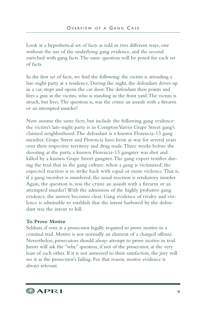Look at a hypothetical set of facts as told in two different ways, one without the use of the underlying gang evidence, and the second enriched with gang facts.The same question will be posed for each set of facts.

In the first set of facts, we find the following: the victim is attending a late-night party at a residence. During the night, the defendant drives up in a car, stops and opens the car door.The defendant then points and fires a gun at the victim, who is standing in the front yard.The victim is struck, but lives.The question is, was the crime an assault with a firearm or an attempted murder?

Now assume the same facts, but include the following gang evidence: the victim's late-night party is in Compton Varrio Grape Street gang's claimed neighborhood.The defendant is a known Florencia-13 gang member. Grape Street and Florencia have been at war for several years over their respective territory and drug trade.Three weeks before the shooting at the party, a known Florencia-13 gangster was shot and killed by a known Grape Street gangster.The gang expert testifies during the trial that in the gang culture, when a gang is victimized, the expected reaction is to strike back with equal or more violence.That is, if a gang member is murdered, the usual reaction is retaliatory murder. Again, the question is, was the crime an assault with a firearm or an attempted murder? With the admission of the highly probative gang evidence, the answer becomes clear. Gang evidence of rivalry and violence is admissible to establish that the intent harbored by the defendant was the intent to kill.

#### **To Prove Motive**

Seldom, if ever, is a prosecutor legally required to prove motive in a criminal trial. Motive is not normally an element of a charged offense. Nevertheless, prosecutors should *always* attempt to prove motive in trial. Jurors will ask the "why" question, if not of the prosecutor, at the very least of each other. If it is not answered to their satisfaction, the jury will see it as the prosecutor's failing. For that reason, motive evidence is always relevant.

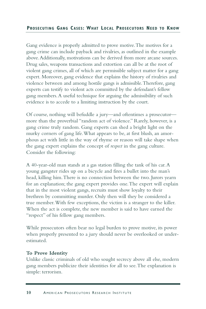Gang evidence is properly admitted to prove motive.The motives for a gang crime can include payback and rivalries, as outlined in the example above.Additionally, motivations can be derived from more arcane sources. Drug sales, weapons transactions and extortion can all be at the root of violent gang crimes, all of which are permissible subject matter for a gang expert. Moreover, gang evidence that explains the history of rivalries and violence between and among hostile gangs is admissible.Therefore, gang experts can testify to violent acts committed by the defendant's fellow gang members.A useful technique for arguing the admissibility of such evidence is to accede to a limiting instruction by the court.

Of course, nothing will befuddle a jury—and oftentimes a prosecutor more than the proverbial "random act of violence." Rarely, however, is a gang crime truly random. Gang experts can shed a bright light on the murky corners of gang life.What appears to be, at first blush, an amorphous act with little in the way of rhyme or reason will take shape when the gang expert explains the concept of *respect* in the gang culture. Consider the following:

A 40-year-old man stands at a gas station filling the tank of his car.A young gangster rides up on a bicycle and fires a bullet into the man's head, killing him.There is no connection between the two. Jurors yearn for an explanation; the gang expert provides one.The expert will explain that in the most violent gangs, recruits must show loyalty to their brethren by committing murder. Only then will they be considered a true member.With few exceptions, the victim is a stranger to the killer. When the act is complete, the new member is said to have earned the "respect" of his fellow gang members.

While prosecutors often bear no legal burden to prove motive, its power when properly presented to a jury should never be overlooked or underestimated.

#### **To Prove Identity**

Unlike classic criminals of old who sought secrecy above all else, modern gang members publicize their identities for all to see.The explanation is simple: terrorism.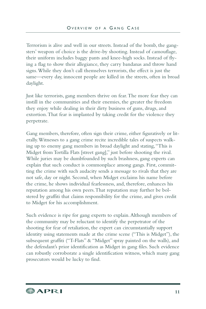Terrorism is alive and well in our streets. Instead of the bomb, the gangsters' weapon of choice is the drive-by shooting. Instead of camouflage, their uniform includes baggy pants and knee-high socks. Instead of flying a flag to show their allegiance, they carry bandanas and throw hand signs.While they don't call themselves terrorists, the effect is just the same—every day, innocent people are killed in the streets, often in broad daylight.

Just like terrorists, gang members thrive on fear.The more fear they can instill in the communities and their enemies, the greater the freedom they enjoy while dealing in their dirty business of guns, drugs, and extortion.That fear is implanted by taking credit for the violence they perpetrate.

Gang members, therefore, often sign their crime, either figuratively or literally.Witnesses to a gang crime recite incredible tales of suspects walking up to enemy gang members in broad daylight and stating,"This is Midget from Tortilla Flats [street gang]," just before shooting the rival. While juries may be dumbfounded by such brashness, gang experts can explain that such conduct is commonplace among gangs. First, committing the crime with such audacity sends a message to rivals that they are not safe, day or night. Second, when Midget exclaims his name before the crime, he shows individual fearlessness, and, therefore, enhances his reputation among his own peers.That reputation may further be bolstered by graffiti that claims responsibility for the crime, and gives credit to Midget for his accomplishment.

Such evidence is ripe for gang experts to explain.Although members of the community may be reluctant to identify the perpetrator of the shooting for fear of retaliation, the expert can circumstantially support identity using statements made at the crime scene ("This is Midget"), the subsequent graffiti ("T-Flats" & "Midget" spray painted on the walls), and the defendant's prior identification as Midget in gang files. Such evidence can robustly corroborate a single identification witness, which many gang prosecutors would be lucky to find.

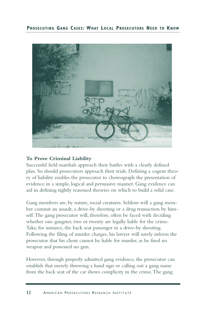**PROSECUTING GANG CASES: WHAT LOCAL PROSECUTORS NEED TO KNOW**



#### **To Prove Criminal Liability**

Successful field marshals approach their battles with a clearly defined plan. So should prosecutors approach their trials. Defining a cogent theory of liability enables the prosecutor to choreograph the presentation of evidence in a simple, logical and persuasive manner. Gang evidence can aid in defining tightly reasoned theories on which to build a solid case.

Gang members are, by nature, social creatures. Seldom will a gang member commit an assault, a drive-by shooting or a drug transaction by himself.The gang prosecutor will, therefore, often be faced with deciding whether one gangster, two or twenty are legally liable for the crime. Take, for instance, the back seat passenger in a drive-by shooting. Following the filing of murder charges, his lawyer will surely inform the prosecutor that his client cannot be liable for murder, as he fired no weapon and possessed no gun.

However, through properly admitted gang evidence, the prosecutor can establish that merely throwing a hand sign or calling out a gang name from the back seat of the car shows complicity in the crime.The gang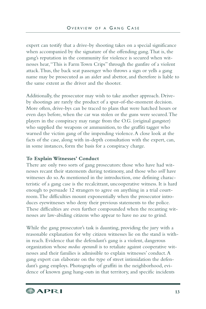expert can testify that a drive-by shooting takes on a special significance when accompanied by the signature of the offending gang.That is, the gang's reputation in the community for violence is secured when witnesses hear,"This is Farm Town Crips" through the gunfire of a violent attack.Thus, the back seat passenger who throws a sign or yells a gang name may be prosecuted as an aider and abettor, and therefore is liable to the same extent as the driver and the shooter.

Additionally, the prosecutor may wish to take another approach. Driveby shootings are rarely the product of a spur-of-the-moment decision. More often, drive-bys can be traced to plans that were hatched hours or even days before, when the car was stolen or the guns were secured.The players in the conspiracy may range from the O.G. (original gangster) who supplied the weapons or ammunition, to the graffiti tagger who warned the victim gang of the impending violence.A close look at the facts of the case, along with in-depth consultation with the expert, can, in some instances, form the basis for a conspiracy charge.

#### **To Explain Witnesses' Conduct**

There are only two sorts of gang prosecutors: those who have had witnesses recant their statements during testimony, and those who *will* have witnesses do so.As mentioned in the introduction, one defining characteristic of a gang case is the recalcitrant, uncooperative witness. It is hard enough to persuade 12 strangers to agree on anything in a trial courtroom.The difficulties mount exponentially when the prosecutor introduces eyewitnesses who deny their previous statements to the police. These difficulties are even further compounded when the recanting witnesses are law-abiding citizens who appear to have no axe to grind.

While the gang prosecutor's task is daunting, providing the jury with a reasonable explanation for why citizen witnesses lie on the stand is within reach. Evidence that the defendant's gang is a violent, dangerous organization whose *modus operandi* is to retaliate against cooperative witnesses and their families is admissible to explain witnesses' conduct.A gang expert can elaborate on the type of street intimidation the defendant's gang employs. Photographs of graffiti in the neighborhood, evidence of known gang hang-outs in that territory, and specific incidents

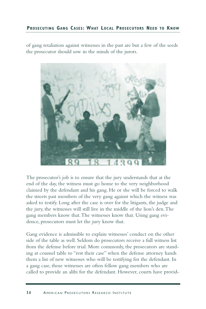#### **PROSECUTING GANG CASES: WHAT LOCAL PROSECUTORS NEED TO KNOW**

of gang retaliation against witnesses in the past are but a few of the seeds the prosecutor should sow in the minds of the jurors.



The prosecutor's job is to ensure that the jury understands that at the end of the day, the witness must go home to the very neighborhood claimed by the defendant and his gang. He or she will be forced to walk the streets past members of the very gang against which the witness was asked to testify. Long after the case is over for the litigants, the judge and the jury, the witnesses will still live in the middle of the lion's den.The gang members know that.The witnesses know that. Using gang evidence, prosecutors must let the jury know that.

Gang evidence is admissible to explain witnesses' conduct on the other side of the table as well. Seldom do prosecutors receive a full witness list from the defense before trial. More commonly, the prosecutors are standing at counsel table to "rest their case" when the defense attorney hands them a list of new witnesses who will be testifying for the defendant. In a gang case, those witnesses are often fellow gang members who are called to provide an alibi for the defendant. However, courts have provid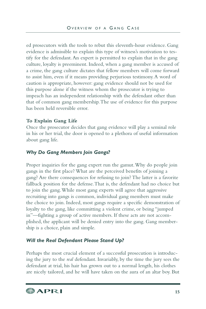ed prosecutors with the tools to rebut this eleventh-hour evidence. Gang evidence is admissible to explain this type of witness's motivation to testify for the defendant.An expert is permitted to explain that in the gang culture, loyalty is preeminent. Indeed, when a gang member is accused of a crime, the gang culture dictates that fellow members will come forward to assist him, even if it means providing perjurious testimony.A word of caution is appropriate, however: gang evidence should not be used for this purpose alone if the witness whom the prosecutor is trying to impeach has an independent relationship with the defendant other than that of common gang membership.The use of evidence for this purpose has been held reversible error.

#### **To Explain Gang Life**

Once the prosecutor decides that gang evidence will play a seminal role in his or her trial, the door is opened to a plethora of useful information about gang life.

#### *Why Do Gang Members Join Gangs?*

Proper inquiries for the gang expert run the gamut.Why do people join gangs in the first place? What are the perceived benefits of joining a gang? Are there consequences for refusing to join? The latter is a favorite fallback position for the defense.That is, the defendant had no choice but to join the gang.While most gang experts will agree that aggressive recruiting into gangs is common, individual gang members must make the choice to join. Indeed, most gangs require a specific demonstration of loyalty to the gang, like committing a violent crime, or being "jumped in"—fighting a group of active members. If these acts are not accomplished, the applicant will be denied entry into the gang. Gang membership is a choice, plain and simple.

#### *Will the Real Defendant Please Stand Up?*

Perhaps the most crucial element of a successful prosecution is introducing the jury to the *real* defendant. Invariably, by the time the jury sees the defendant at trial, his hair has grown out to a normal length, his clothes are nicely tailored, and he will have taken on the aura of an altar boy. But

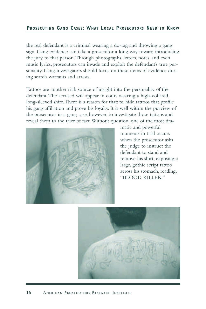#### **PROSECUTING GANG CASES: WHAT LOCAL PROSECUTORS NEED TO KNOW**

the real defendant is a criminal wearing a do-rag and throwing a gang sign. Gang evidence can take a prosecutor a long way toward introducing the jury to that person.Through photographs, letters, notes, and even music lyrics, prosecutors can invade and exploit the defendant's true personality. Gang investigators should focus on these items of evidence during search warrants and arrests.

Tattoos are another rich source of insight into the personality of the defendant.The accused will appear in court wearing a high-collared, long-sleeved shirt.There is a reason for that: to hide tattoos that profile his gang affiliation and prove his loyalty. It is well within the purview of the prosecutor in a gang case, however, to investigate those tattoos and reveal them to the trier of fact.Without question, one of the most dra-



matic and powerful moments in trial occurs when the prosecutor asks the judge to instruct the defendant to stand and remove his shirt, exposing a large, gothic script tattoo across his stomach, reading, "BLOOD KILLER."

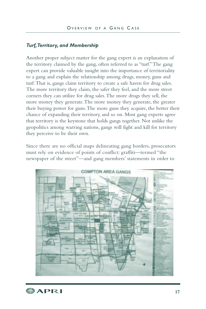#### *Turf,Territory, and Membership*

Another proper subject matter for the gang expert is an explanation of the territory claimed by the gang, often referred to as "turf."The gang expert can provide valuable insight into the importance of territoriality to a gang and explain the relationship among drugs, money, guns and turf.That is, gangs claim territory to create a safe haven for drug sales. The more territory they claim, the safer they feel, and the more street corners they can utilize for drug sales.The more drugs they sell, the more money they generate.The more money they generate, the greater their buying power for guns.The more guns they acquire, the better their chance of expanding their territory, and so on. Most gang experts agree that territory is the keystone that holds gangs together. Not unlike the geopolitics among warring nations, gangs will fight and kill for territory they perceive to be their own.

Since there are no official maps delineating gang borders, prosecutors must rely on evidence of points of conflict: graffiti—termed "the newspaper of the street"—and gang members' statements in order to



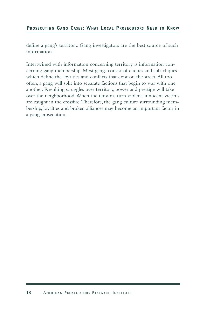define a gang's territory. Gang investigators are the best source of such information.

Intertwined with information concerning territory is information concerning gang membership. Most gangs consist of cliques and sub-cliques which define the loyalties and conflicts that exist on the street.All too often, a gang will split into separate factions that begin to war with one another. Resulting struggles over territory, power and prestige will take over the neighborhood.When the tensions turn violent, innocent victims are caught in the crossfire.Therefore, the gang culture surrounding membership, loyalties and broken alliances may become an important factor in a gang prosecution.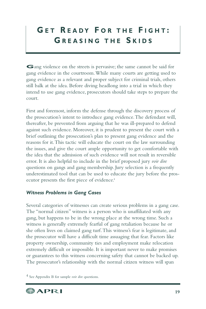### **G E T R EADY F OR THE F IGHT : G REASING THE S KIDS**

Gang violence on the streets is pervasive; the same cannot be said for gang evidence in the courtroom.While many courts are getting used to gang evidence as a relevant and proper subject for criminal trials, others still balk at the idea. Before diving headlong into a trial in which they intend to use gang evidence, prosecutors should take steps to prepare the court.

First and foremost, inform the defense through the discovery process of the prosecution's intent to introduce gang evidence.The defendant will, thereafter, be prevented from arguing that he was ill-prepared to defend against such evidence. Moreover, it is prudent to present the court with a brief outlining the prosecution's plan to present gang evidence and the reasons for it.This tactic will educate the court on the law surrounding the issues, and give the court ample opportunity to get comfortable with the idea that the admission of such evidence will not result in reversible error. It is also helpful to include in the brief proposed jury *voir dire* questions on gangs and gang membership. Jury selection is a frequently underestimated tool that can be used to educate the jury before the prosecutor presents the first piece of evidence.<sup>4</sup>

#### *Witness Problems in Gang Cases*

Several categories of witnesses can create serious problems in a gang case. The "normal citizen" witness is a person who is unaffiliated with any gang, but happens to be in the wrong place at the wrong time. Such a witness is generally extremely fearful of gang retaliation because he or she often lives on claimed gang turf.This witness's fear is legitimate, and the prosecutor will have a difficult time assuaging that fear. Factors like property ownership, community ties and employment make relocation extremely difficult or impossible. It is important never to make promises or guarantees to this witness concerning safety that cannot be backed up. The prosecutor's relationship with the normal citizen witness will span

<sup>4</sup> See Appendix B for sample *voir dire* questions.

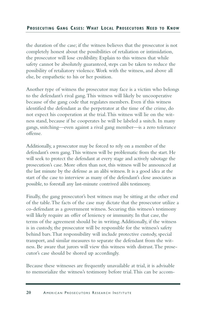the duration of the case; if the witness believes that the prosecutor is not completely honest about the possibilities of retaliation or intimidation, the prosecutor will lose credibility. Explain to this witness that while safety cannot be absolutely guaranteed, steps can be taken to reduce the possibility of retaliatory violence.Work with the witness, and above all else, be empathetic to his or her position.

Another type of witness the prosecutor may face is a victim who belongs to the defendant's rival gang.This witness will likely be uncooperative because of the gang code that regulates members. Even if this witness identified the defendant as the perpetrator at the time of the crime, do not expect his cooperation at the trial.This witness will lie on the witness stand, because if he cooperates he will be labeled a snitch. In many gangs, snitching—even against a rival gang member—is a zero tolerance offense.

Additionally, a prosecutor may be forced to rely on a member of the defendant's own gang.This witness will be problematic from the start. He will seek to protect the defendant at every stage and actively sabotage the prosecution's case. More often than not, this witness will be announced at the last minute by the defense as an alibi witness. It is a good idea at the start of the case to interview as many of the defendant's close associates as possible, to forestall any last-minute contrived alibi testimony.

Finally, the gang prosecutor's best witness may be sitting at the other end of the table.The facts of the case may dictate that the prosecutor utilize a co-defendant as a government witness. Securing this witness's testimony will likely require an offer of leniency or immunity. In that case, the terms of the agreement should be in writing.Additionally, if the witness is in custody, the prosecutor will be responsible for the witness's safety behind bars.That responsibility will include protective custody, special transport, and similar measures to separate the defendant from the witness. Be aware that jurors will view this witness with distrust.The prosecutor's case should be shored up accordingly.

Because these witnesses are frequently unavailable at trial, it is advisable to memorialize the witness's testimony before trial.This can be accom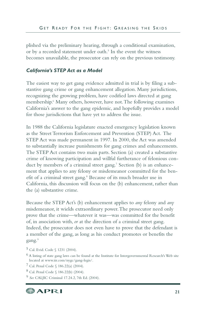plished via the preliminary hearing, through a conditional examination, or by a recorded statement under oath.<sup>5</sup> In the event the witness becomes unavailable, the prosecutor can rely on the previous testimony.

#### *California's STEP Act as a Model*

The easiest way to get gang evidence admitted in trial is by filing a substantive gang crime or gang enhancement allegation. Many jurisdictions, recognizing the growing problem, have codified laws directed at gang membership.<sup>6</sup> Many others, however, have not. The following examines California's answer to the gang epidemic, and hopefully provides a model for those jurisdictions that have yet to address the issue.

In 1988 the California legislature enacted emergency legislation known as the Street Terrorism Enforcement and Prevention (STEP) Act. The STEP Act was made permanent in 1997. In 2000, the Act was amended to substantially increase punishments for gang crimes and enhancements. The STEP Act contains two main parts. Section (a) created a substantive crime of knowing participation and willful furtherance of felonious conduct by members of a criminal street gang.<sup>7</sup> Section (b) is an enhancement that applies to any felony or misdemeanor committed for the benefit of a criminal street gang.<sup>8</sup> Because of its much broader use in California, this discussion will focus on the (b) enhancement, rather than the (a) substantive crime.

Because the STEP Act's (b) enhancement applies to *any* felony and *any* misdemeanor, it wields extraordinary power.The prosecutor need only prove that the crime—whatever it was—was committed for the benefit of, in association with, *or* at the direction of a criminal street gang. Indeed, the prosecutor does not even have to prove that the defendant is a member of the gang, as long as his conduct promotes or benefits the gang.<sup>9</sup>

5 Cal. Evid. Code § 1231 (2004).

<sup>9</sup> *See* CALJIC Criminal 17.24.2, 7th Ed. (2004).



 $6$  A listing of state gang laws can be found at the Institute for Intergovernmental Research's Web site located at www.iir.com/nygc/gang-legis/.

<sup>7</sup> Cal. Penal Code § 186.22(a) (2004).

<sup>8</sup> Cal. Penal Code § 186.22(b) (2004).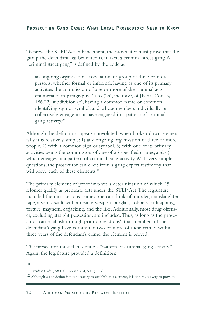To prove the STEP Act enhancement, the prosecutor must prove that the group the defendant has benefited is, in fact, a criminal street gang.A "criminal street gang" is defined by the code as

an ongoing organization, association, or group of three or more persons, whether formal or informal, having as one of its primary activities the commission of one or more of the criminal acts enumerated in paragraphs (1) to (25), inclusive, of [Penal Code  $\mathcal S$ 186.22] subdivision (e), having a common name or common identifying sign or symbol, and whose members individually or collectively engage in or have engaged in a pattern of criminal gang activity.<sup>10</sup>

Although the definition appears convoluted, when broken down elementally it is relatively simple: 1) any ongoing organization of three or more people, 2) with a common sign or symbol, 3) with one of its primary activities being the commission of one of 25 specified crimes, and 4) which engages in a pattern of criminal gang activity.With very simple questions, the prosecutor can elicit from a gang expert testimony that will prove each of these elements.<sup>11</sup>

The primary element of proof involves a determination of which 25 felonies qualify as predicate acts under the STEP Act.The legislature included the most serious crimes one can think of: murder, manslaughter, rape, arson, assault with a deadly weapon, burglary, robbery, kidnapping, torture, mayhem, carjacking, and the like. Additionally, most drug offenses, excluding straight possession, are included.Thus, as long as the prosecutor can establish through prior convictions<sup>12</sup> that members of the defendant's gang have committed two or more of these crimes within three years of the defendant's crime, the element is proved.

The prosecutor must then define a "pattern of criminal gang activity." Again, the legislature provided a definition:

 $10$  Id.

11 *People v.Valdez,* 58 Cal.App.4th 494, 506 (1997).

 $12$  Although a conviction is not necessary to establish this element, it is the easiest way to prove it.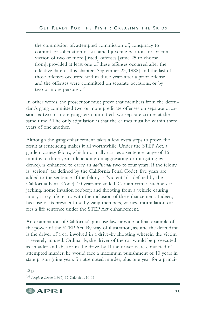the commission of, attempted commission of, conspiracy to commit, or solicitation of, sustained juvenile petition for, or conviction of two or more [listed] offenses [same 25 to choose from], provided at least one of these offenses occurred after the effective date of this chapter [September 23, 1988] and the last of those offenses occurred within three years after a prior offense, and the offenses were committed on separate occasions, or by two or more persons...<sup>13</sup>

In other words, the prosecutor must prove that members from the defendant's gang committed two or more predicate offenses on separate occasions *or* two or more gangsters committed two separate crimes at the same time.<sup>14</sup> The only stipulation is that the crimes must be within three years of one another.

Although the gang enhancement takes a few extra steps to prove, the result at sentencing makes it all worthwhile. Under the STEP Act, a garden-variety felony, which normally carries a sentence range of 16 months to three years (depending on aggravating or mitigating evidence), is enhanced to carry an *additional* two to four years. If the felony is "serious" (as defined by the California Penal Code), five years are added to the sentence. If the felony is "violent" (as defined by the California Penal Code), 10 years are added. Certain crimes such as carjacking, home invasion robbery, and shooting from a vehicle causing injury carry life terms with the inclusion of the enhancement. Indeed, because of its prevalent use by gang members, witness intimidation carries a life sentence under the STEP Act enhancement.

An examination of California's gun use law provides a final example of the power of the STEP Act. By way of illustration, assume the defendant is the driver of a car involved in a drive-by shooting wherein the victim is severely injured. Ordinarily, the driver of the car would be prosecuted as an aider and abettor in the drive-by. If the driver were convicted of attempted murder, he would face a maximum punishment of 10 years in state prison (nine years for attempted murder, plus one year for a princi-

 $13$  Id. 14 *People v. Louen* (1997) 17 Cal.4th 1, 10-11.

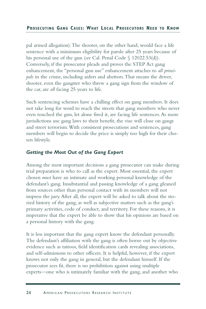pal armed allegation).The shooter, on the other hand, would face a life sentence with a minimum eligibility for parole after 25 years because of his personal use of the gun (*see* Cal. Penal Code § 12022.53(d)). Conversely, if the prosecutor pleads and proves the STEP Act gang enhancement, the "personal gun use" enhancement attaches to *all principals* in the crime, including aiders and abettors.That means the driver, shooter, even the gangster who threw a gang sign from the window of the car, are *all* facing 25 years to life.

Such sentencing schemes have a chilling effect on gang members. It does not take long for word to reach the streets that gang members who never even touched the gun, let alone fired it, are facing life sentences.As more jurisdictions use gang laws to their benefit, the vise will close on gangs and street terrorism.With consistent prosecutions and sentences, gang members will begin to decide the price is simply too high for their chosen lifestyle.

#### *Getting the Most Out of the Gang Expert*

Among the most important decisions a gang prosecutor can make during trial preparation is who to call as the expert. Most essential, the expert chosen *must* have an intimate and working personal knowledge of the defendant's gang. Insubstantial and passing knowledge of a gang gleaned from sources other than personal contact with its members will not impress the jury.After all, the expert will be asked to talk about the storied history of the gang, as well as subjective matters such as the gang's primary activities, code of conduct, and territory. For these reasons, it is imperative that the expert be able to show that his opinions are based on a personal history with the gang.

It is less important that the gang expert know the defendant personally. The defendant's affiliation with the gang is often borne out by objective evidence such as tattoos, field identification cards revealing associations, and self-admissions to other officers. It is helpful, however, if the expert knows not only the gang in general, but the defendant himself. If the prosecutor sees fit, there is no prohibition against using multiple experts—one who is intimately familiar with the gang, and another who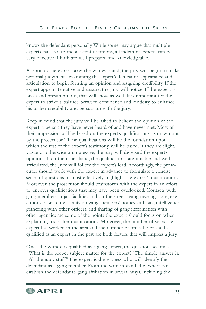knows the defendant personally.While some may argue that multiple experts can lead to inconsistent testimony, a tandem of experts can be very effective if both are well prepared and knowledgeable.

As soon as the expert takes the witness stand, the jury will begin to make personal judgments, examining the expert's demeanor, appearance and articulation to begin forming an opinion and assigning credibility. If the expert appears tentative and unsure, the jury will notice. If the expert is brash and presumptuous, that will show as well. It is important for the expert to strike a balance between confidence and modesty to enhance his or her credibility and persuasion with the jury.

Keep in mind that the jury will be asked to believe the opinion of the expert, a person they have never heard of and have never met. Most of their impression will be based on the expert's qualifications, as drawn out by the prosecutor.Those qualifications will be the foundation upon which the rest of the expert's testimony will be based. If they are slight, vague or otherwise unimpressive, the jury will disregard the expert's opinion. If, on the other hand, the qualifications are notable and well articulated, the jury will follow the expert's lead.Accordingly, the prosecutor should work with the expert in advance to formulate a concise series of questions to most effectively highlight the expert's qualifications. Moreover, the prosecutor should brainstorm with the expert in an effort to uncover qualifications that may have been overlooked. Contacts with gang members in jail facilities and on the streets, gang investigations, executions of search warrants on gang members' homes and cars, intelligence gathering with other officers, and sharing of gang information with other agencies are some of the points the expert should focus on when explaining his or her qualifications. Moreover, the number of years the expert has worked in the area and the number of times he or she has qualified as an expert in the past are both factors that will impress a jury.

Once the witness is qualified as a gang expert, the question becomes, "What is the proper subject matter for the expert?"The simple answer is, "All the juicy stuff."The expert is the witness who will identify the defendant as a gang member. From the witness stand, the expert can establish the defendant's gang affiliation in several ways, including the

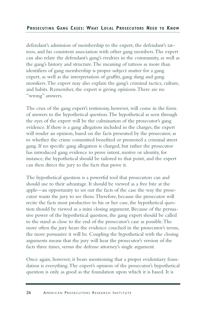defendant's admission of membership to the expert, the defendant's tattoos, and his consistent association with other gang members.The expert can also relate the defendant's gang's rivalries in the community, as well as the gang's history and structure.The meaning of tattoos as more than identifiers of gang membership is proper subject matter for a gang expert, as well as the interpretation of graffiti, gang slang and gang monikers.The expert may also explain the gang's criminal tactics, culture, and habits. Remember, the expert is giving opinions.There are no "wrong" answers.

The crux of the gang expert's testimony, however, will come in the form of answers to the hypothetical question.The hypothetical as seen through the eyes of the expert will be the culmination of the prosecutor's gang evidence. If there is a gang allegation included in the charges, the expert will render an opinion, based on the facts presented by the prosecutor, as to whether the crime committed benefited or promoted a criminal street gang. If no specific gang allegation is charged, but rather the prosecutor has introduced gang evidence to prove intent, motive or identity, for instance, the hypothetical should be tailored to that point, and the expert can then direct the jury to the facts that prove it.

The hypothetical question is a powerful tool that prosecutors can and should use to their advantage. It should be viewed as a free bite at the apple—an opportunity to set out the facts of the case the way the prosecutor wants the jury to see them.Therefore, because the prosecutor will recite the facts most productive to his or her case, the hypothetical question should be viewed as a mini closing argument. Because of the persuasive power of the hypothetical question, the gang expert should be called to the stand as close to the end of the prosecutor's case as possible.The more often the jury hears the evidence couched in the prosecutor's terms, the more persuasive it will be. Coupling the hypothetical with the closing arguments means that the jury will hear the prosecutor's version of the facts three times, versus the defense attorney's single argument.

Once again, however, it bears mentioning that a proper evidentiary foundation is everything.The expert's opinion of the prosecutor's hypothetical question is only as good as the foundation upon which it is based. It is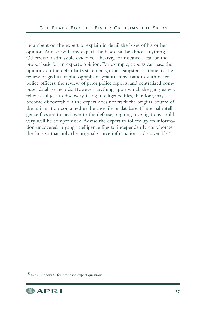incumbent on the expert to explain in detail the bases of his or her opinion.And, as with any expert, the bases can be almost anything. Otherwise inadmissible evidence—hearsay, for instance—can be the proper basis for an expert's opinion. For example, experts can base their opinions on the defendant's statements, other gangsters' statements, the review of graffiti or photographs of graffiti, conversations with other police officers, the review of prior police reports, and centralized computer database records. However, anything upon which the gang expert relies is subject to discovery. Gang intelligence files, therefore, may become discoverable if the expert does not track the original source of the information contained in the case file or database. If internal intelligence files are turned over to the defense, ongoing investigations could very well be compromised.Advise the expert to follow up on information uncovered in gang intelligence files to independently corroborate the facts so that only the original source information is discoverable.<sup>15</sup>

<sup>15</sup> See Appendix C for proposed expert questions.

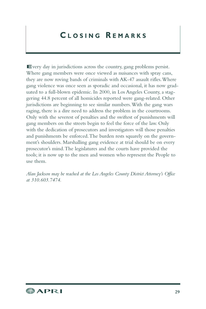### **C LOSING R EMARKS**

**E**very day in jurisdictions across the country, gang problems persist. Where gang members were once viewed as nuisances with spray cans, they are now roving bands of criminals with AK-47 assault rifles.Where gang violence was once seen as sporadic and occasional, it has now graduated to a full-blown epidemic. In 2000, in Los Angeles County, a staggering 44.8 percent of all homicides reported were gang-related. Other jurisdictions are beginning to see similar numbers.With the gang wars raging, there is a dire need to address the problem in the courtrooms. Only with the severest of penalties and the swiftest of punishments will gang members on the streets begin to feel the force of the law. Only with the dedication of prosecutors and investigators will those penalties and punishments be enforced.The burden rests squarely on the government's shoulders. Marshalling gang evidence at trial should be on every prosecutor's mind.The legislatures and the courts have provided the tools; it is now up to the men and women who represent the People to use them.

*Alan Jackson may be reached at the Los Angeles County District Attorney's Office at 310.603.7474.*

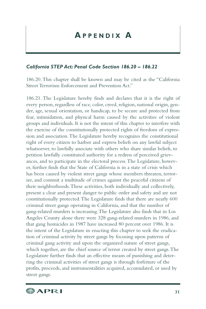### **A PPENDIX A**

#### *California STEP Act: Penal Code Section 186.20 – 186.22*

186.20.This chapter shall be known and may be cited as the "California Street Terrorism Enforcement and Prevention Act."

186.21. The Legislature hereby finds and declares that it is the right of every person, regardless of race, color, creed, religion, national origin, gender, age, sexual orientation, or handicap, to be secure and protected from fear, intimidation, and physical harm caused by the activities of violent groups and individuals. It is not the intent of this chapter to interfere with the exercise of the constitutionally protected rights of freedom of expression and association.The Legislature hereby recognizes the constitutional right of every citizen to harbor and express beliefs on any lawful subject whatsoever, to lawfully associate with others who share similar beliefs, to petition lawfully constituted authority for a redress of perceived grievances, and to participate in the electoral process.The Legislature, however, further finds that the State of California is in a state of crisis which has been caused by violent street gangs whose members threaten, terrorize, and commit a multitude of crimes against the peaceful citizens of their neighborhoods.These activities, both individually and collectively, present a clear and present danger to public order and safety and are not constitutionally protected.The Legislature finds that there are nearly 600 criminal street gangs operating in California, and that the number of gang-related murders is increasing.The Legislature also finds that in Los Angeles County alone there were 328 gang-related murders in 1986, and that gang homicides in 1987 have increased 80 percent over 1986. It is the intent of the Legislature in enacting this chapter to seek the eradication of criminal activity by street gangs by focusing upon patterns of criminal gang activity and upon the organized nature of street gangs, which together, are the chief source of terror created by street gangs.The Legislature further finds that an effective means of punishing and deterring the criminal activities of street gangs is through forfeiture of the profits, proceeds, and instrumentalities acquired, accumulated, or used by street gangs.

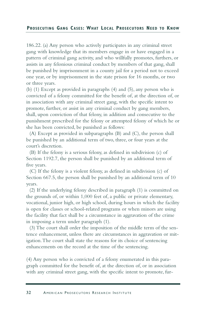186.22. (a) Any person who actively participates in any criminal street gang with knowledge that its members engage in or have engaged in a pattern of criminal gang activity, and who willfully promotes, furthers, or assists in any felonious criminal conduct by members of that gang, shall be punished by imprisonment in a county jail for a period not to exceed one year, or by imprisonment in the state prison for 16 months, or two or three years.

(b) (1) Except as provided in paragraphs (4) and (5), any person who is convicted of a felony committed for the benefit of, at the direction of, or in association with any criminal street gang, with the specific intent to promote, further, or assist in any criminal conduct by gang members, shall, upon conviction of that felony, in addition and consecutive to the punishment prescribed for the felony or attempted felony of which he or she has been convicted, be punished as follows:

(A) Except as provided in subparagraphs (B) and (C), the person shall be punished by an additional term of two, three, or four years at the court's discretion.

(B) If the felony is a serious felony, as defined in subdivision (c) of Section 1192.7, the person shall be punished by an additional term of five years.

(C) If the felony is a violent felony, as defined in subdivision (c) of Section 667.5, the person shall be punished by an additional term of 10 years.

(2) If the underlying felony described in paragraph (1) is committed on the grounds of, or within 1,000 feet of, a public or private elementary, vocational, junior high, or high school, during hours in which the facility is open for classes or school-related programs or when minors are using the facility that fact shall be a circumstance in aggravation of the crime in imposing a term under paragraph (1).

(3) The court shall order the imposition of the middle term of the sentence enhancement, unless there are circumstances in aggravation or mitigation.The court shall state the reasons for its choice of sentencing enhancements on the record at the time of the sentencing.

(4) Any person who is convicted of a felony enumerated in this paragraph committed for the benefit of, at the direction of, or in association with any criminal street gang, with the specific intent to promote, fur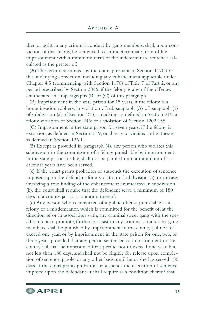ther, or assist in any criminal conduct by gang members, shall, upon conviction of that felony, be sentenced to an indeterminate term of life imprisonment with a minimum term of the indeterminate sentence calculated as the greater of:

(A) The term determined by the court pursuant to Section 1170 for the underlying conviction, including any enhancement applicable under Chapter 4.5 (commencing with Section 1170) of Title 7 of Part 2, or any period prescribed by Section 3046, if the felony is any of the offenses enumerated in subparagraphs (B) or (C) of this paragraph.

(B) Imprisonment in the state prison for 15 years, if the felony is a home invasion robbery, in violation of subparagraph (A) of paragraph (1) of subdivision (a) of Section 213; carjacking, as defined in Section 215; a felony violation of Section 246; or a violation of Section 12022.55.

(C) Imprisonment in the state prison for seven years, if the felony is extortion, as defined in Section 519; or threats to victims and witnesses, as defined in Section 136.1.

(5) Except as provided in paragraph (4), any person who violates this subdivision in the commission of a felony punishable by imprisonment in the state prison for life, shall not be paroled until a minimum of 15 calendar years have been served.

(c) If the court grants probation or suspends the execution of sentence imposed upon the defendant for a violation of subdivision (a), or in cases involving a true finding of the enhancement enumerated in subdivision (b), the court shall require that the defendant serve a minimum of 180 days in a county jail as a condition thereof.

(d) Any person who is convicted of a public offense punishable as a felony or a misdemeanor, which is committed for the benefit of, at the direction of or in association with, any criminal street gang with the specific intent to promote, further, or assist in any criminal conduct by gang members, shall be punished by imprisonment in the county jail not to exceed one year, or by imprisonment in the state prison for one, two, or three years, provided that any person sentenced to imprisonment in the county jail shall be imprisoned for a period not to exceed one year, but not less than 180 days, and shall not be eligible for release upon completion of sentence, parole, or any other basis, until he or she has served 180 days. If the court grants probation or suspends the execution of sentence imposed upon the defendant, it shall require as a condition thereof that

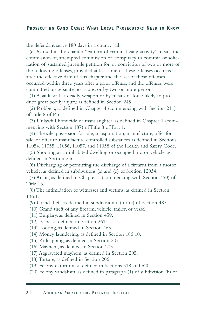the defendant serve 180 days in a county jail.

(e) As used in this chapter,"pattern of criminal gang activity" means the commission of, attempted commission of, conspiracy to commit, or solicitation of, sustained juvenile petition for, or conviction of two or more of the following offenses, provided at least one of these offenses occurred after the effective date of this chapter and the last of those offenses occurred within three years after a prior offense, and the offenses were committed on separate occasions, or by two or more persons:

(1) Assault with a deadly weapon or by means of force likely to produce great bodily injury, as defined in Section 245.

(2) Robbery, as defined in Chapter 4 (commencing with Section 211) of Title 8 of Part 1.

(3) Unlawful homicide or manslaughter, as defined in Chapter 1 (commencing with Section 187) of Title 8 of Part 1.

(4) The sale, possession for sale, transportation, manufacture, offer for sale, or offer to manufacture controlled substances as defined in Sections 11054, 11055, 11056, 11057, and 11058 of the Health and Safety Code.

(5) Shooting at an inhabited dwelling or occupied motor vehicle, as defined in Section 246.

(6) Discharging or permitting the discharge of a firearm from a motor vehicle, as defined in subdivisions (a) and (b) of Section 12034.

(7) Arson, as defined in Chapter 1 (commencing with Section 450) of Title 13.

(8) The intimidation of witnesses and victims, as defined in Section 136.1.

(9) Grand theft, as defined in subdivision (a) or (c) of Section 487.

(10) Grand theft of any firearm, vehicle, trailer, or vessel.

(11) Burglary, as defined in Section 459.

(12) Rape, as defined in Section 261.

(13) Looting, as defined in Section 463.

(14) Money laundering, as defined in Section 186.10.

(15) Kidnapping, as defined in Section 207.

(16) Mayhem, as defined in Section 203.

(17) Aggravated mayhem, as defined in Section 205.

(18) Torture, as defined in Section 206.

(19) Felony extortion, as defined in Sections 518 and 520.

(20) Felony vandalism, as defined in paragraph (1) of subdivision (b) of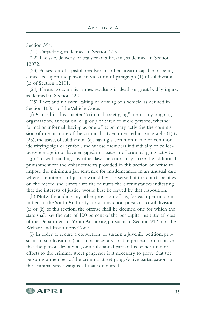Section 594.

(21) Carjacking, as defined in Section 215.

(22) The sale, delivery, or transfer of a firearm, as defined in Section 12072.

(23) Possession of a pistol, revolver, or other firearm capable of being concealed upon the person in violation of paragraph (1) of subdivision (a) of Section 12101.

(24) Threats to commit crimes resulting in death or great bodily injury, as defined in Section 422.

(25) Theft and unlawful taking or driving of a vehicle, as defined in Section 10851 of the Vehicle Code.

(f) As used in this chapter,"criminal street gang" means any ongoing organization, association, or group of three or more persons, whether formal or informal, having as one of its primary activities the commission of one or more of the criminal acts enumerated in paragraphs (1) to (25), inclusive, of subdivision (e), having a common name or common identifying sign or symbol, and whose members individually or collectively engage in or have engaged in a pattern of criminal gang activity.

(g) Notwithstanding any other law, the court may strike the additional punishment for the enhancements provided in this section or refuse to impose the minimum jail sentence for misdemeanors in an unusual case where the interests of justice would best be served, if the court specifies on the record and enters into the minutes the circumstances indicating that the interests of justice would best be served by that disposition.

(h) Notwithstanding any other provision of law, for each person committed to the Youth Authority for a conviction pursuant to subdivision (a) or (b) of this section, the offense shall be deemed one for which the state shall pay the rate of 100 percent of the per capita institutional cost of the Department of Youth Authority, pursuant to Section 912.5 of the Welfare and Institutions Code.

(i) In order to secure a conviction, or sustain a juvenile petition, pursuant to subdivision (a), it is not necessary for the prosecution to prove that the person devotes all, or a substantial part of his or her time or efforts to the criminal street gang, nor is it necessary to prove that the person is a member of the criminal street gang.Active participation in the criminal street gang is all that is required.

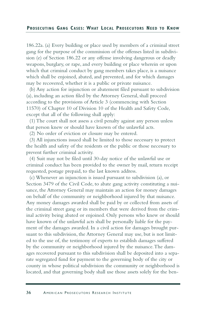186.22a. (a) Every building or place used by members of a criminal street gang for the purpose of the commission of the offenses listed in subdivision (e) of Section 186.22 or any offense involving dangerous or deadly weapons, burglary, or rape, and every building or place wherein or upon which that criminal conduct by gang members takes place, is a nuisance which shall be enjoined, abated, and prevented, and for which damages may be recovered, whether it is a public or private nuisance.

(b) Any action for injunction or abatement filed pursuant to subdivision (a), including an action filed by the Attorney General, shall proceed according to the provisions of Article 3 (commencing with Section 11570) of Chapter 10 of Division 10 of the Health and Safety Code, except that all of the following shall apply:

(1) The court shall not assess a civil penalty against any person unless that person knew or should have known of the unlawful acts.

(2) No order of eviction or closure may be entered.

(3) All injunctions issued shall be limited to those necessary to protect the health and safety of the residents or the public or those necessary to prevent further criminal activity.

(4) Suit may not be filed until 30-day notice of the unlawful use or criminal conduct has been provided to the owner by mail, return receipt requested, postage prepaid, to the last known address.

(c) Whenever an injunction is issued pursuant to subdivision (a), or Section 3479 of the Civil Code, to abate gang activity constituting a nuisance, the Attorney General may maintain an action for money damages on behalf of the community or neighborhood injured by that nuisance. Any money damages awarded shall be paid by or collected from assets of the criminal street gang or its members that were derived from the criminal activity being abated or enjoined. Only persons who knew or should have known of the unlawful acts shall be personally liable for the payment of the damages awarded. In a civil action for damages brought pursuant to this subdivision, the Attorney General may use, but is not limited to the use of, the testimony of experts to establish damages suffered by the community or neighborhood injured by the nuisance.The damages recovered pursuant to this subdivision shall be deposited into a separate segregated fund for payment to the governing body of the city or county in whose political subdivision the community or neighborhood is located, and that governing body shall use those assets solely for the ben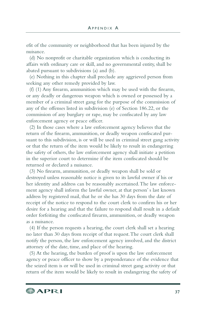efit of the community or neighborhood that has been injured by the nuisance.

(d) No nonprofit or charitable organization which is conducting its affairs with ordinary care or skill, and no governmental entity, shall be abated pursuant to subdivisions (a) and (b).

(e) Nothing in this chapter shall preclude any aggrieved person from seeking any other remedy provided by law.

(f) (1) Any firearm, ammunition which may be used with the firearm, or any deadly or dangerous weapon which is owned or possessed by a member of a criminal street gang for the purpose of the commission of any of the offenses listed in subdivision (e) of Section 186.22, or the commission of any burglary or rape, may be confiscated by any law enforcement agency or peace officer.

(2) In those cases where a law enforcement agency believes that the return of the firearm, ammunition, or deadly weapon confiscated pursuant to this subdivision, is or will be used in criminal street gang activity or that the return of the item would be likely to result in endangering the safety of others, the law enforcement agency shall initiate a petition in the superior court to determine if the item confiscated should be returned or declared a nuisance.

(3) No firearm, ammunition, or deadly weapon shall be sold or destroyed unless reasonable notice is given to its lawful owner if his or her identity and address can be reasonably ascertained.The law enforcement agency shall inform the lawful owner, at that person' s last known address by registered mail, that he or she has 30 days from the date of receipt of the notice to respond to the court clerk to confirm his or her desire for a hearing and that the failure to respond shall result in a default order forfeiting the confiscated firearm, ammunition, or deadly weapon as a nuisance.

(4) If the person requests a hearing, the court clerk shall set a hearing no later than 30 days from receipt of that request.The court clerk shall notify the person, the law enforcement agency involved, and the district attorney of the date, time, and place of the hearing.

(5) At the hearing, the burden of proof is upon the law enforcement agency or peace officer to show by a preponderance of the evidence that the seized item is or will be used in criminal street gang activity or that return of the item would be likely to result in endangering the safety of

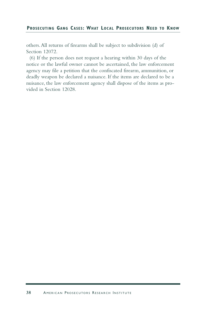others.All returns of firearms shall be subject to subdivision (d) of Section 12072.

(6) If the person does not request a hearing within 30 days of the notice or the lawful owner cannot be ascertained, the law enforcement agency may file a petition that the confiscated firearm, ammunition, or deadly weapon be declared a nuisance. If the items are declared to be a nuisance, the law enforcement agency shall dispose of the items as provided in Section 12028.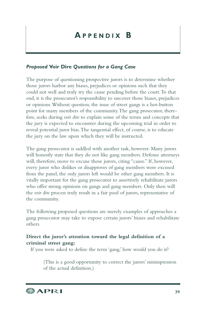### **A PPENDIX B**

#### *Proposed* **Voir Dire** *Questions for a Gang Case*

The purpose of questioning prospective jurors is to determine whether those jurors harbor any biases, prejudices or opinions such that they could not well and truly try the cause pending before the court.To that end, it is the prosecutor's responsibility to uncover those biases, prejudices or opinions.Without question, the issue of street gangs is a hot-button point for many members of the community.The gang prosecutor, therefore, seeks during *voir dire* to explain some of the terms and concepts that the jury is expected to encounter during the upcoming trial in order to reveal potential juror bias.The tangential effect, of course, is to educate the jury on the law upon which they will be instructed.

The gang prosecutor is saddled with another task, however. Many jurors will honestly state that they do not like gang members. Defense attorneys will, therefore, move to excuse those jurors, citing "cause." If, however, every juror who dislikes or disapproves of gang members were excused from the panel, the only jurors left would be other gang members. It is vitally important for the gang prosecutor to assertively rehabilitate jurors who offer strong opinions on gangs and gang members. Only then will the *voir dire* process truly result in a fair pool of jurors, representative of the community.

The following proposed questions are merely examples of approaches a gang prosecutor may take to expose certain jurors' biases and rehabilitate others.

#### **Direct the juror's attention toward the legal definition of a criminal street gang:**

If you were asked to define the term 'gang,' how would you do it?

(This is a good opportunity to correct the jurors' misimpression of the actual definition.)

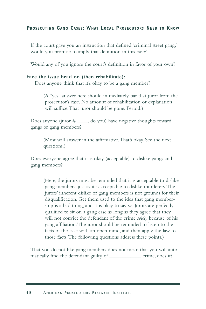If the court gave you an instruction that defined 'criminal street gang,' would you promise to apply that definition in this case?

Would any of you ignore the court's definition in favor of your own?

#### **Face the issue head on (then rehabilitate):**

Does anyone think that it's okay to be a gang member?

(A "yes" answer here should immediately bar that juror from the prosecutor's case. No amount of rehabilitation or explanation will suffice. That juror should be gone. Period.)

Does anyone (juror  $\#$  \_\_\_\_, do you) have negative thoughts toward gangs or gang members?

(Most will answer in the affirmative.That's okay. See the next questions.)

Does everyone agree that it is okay (acceptable) to dislike gangs and gang members?

(Here, the jurors must be reminded that it is acceptable to dislike gang members, just as it is acceptable to dislike murderers.The jurors' inherent dislike of gang members is not grounds for their disqualification. Get them used to the idea that gang membership is a bad thing, and it is okay to say so. Jurors are perfectly qualified to sit on a gang case as long as they agree that they will not convict the defendant of the crime *solely* because of his gang affiliation.The juror should be reminded to listen to the facts of the case with an open mind, and then apply the law to those facts.The following questions address these points.)

That you do not like gang members does not mean that you will automatically find the defendant guilty of \_\_\_\_\_\_\_\_\_\_\_\_\_\_\_ crime, does it?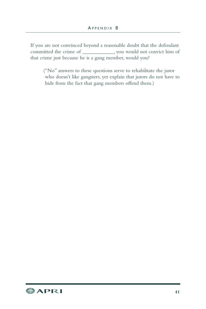If you are not convinced beyond a reasonable doubt that the defendant committed the crime of \_\_\_\_\_\_\_\_\_\_\_\_, you would not convict him of that crime just because he is a gang member, would you?

("No" answers to these questions serve to rehabilitate the juror who doesn't like gangsters, yet explain that jurors do not have to hide from the fact that gang members offend them.)

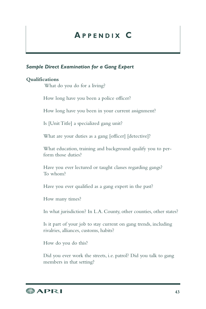### **A PPENDIX C**

#### *Sample Direct Examination for a Gang Expert*

#### **Qualifications**

What do you do for a living?

How long have you been a police officer?

How long have you been in your current assignment?

Is [Unit Title] a specialized gang unit?

What are your duties as a gang [officer] [detective]?

What education, training and background qualify you to perform those duties?

Have you ever lectured or taught classes regarding gangs? To whom?

Have you ever qualified as a gang expert in the past?

How many times?

In what jurisdiction? In L.A. County, other counties, other states?

Is it part of your job to stay current on gang trends, including rivalries, alliances, customs, habits?

How do you do this?

Did you ever work the streets, i.e. patrol? Did you talk to gang members in that setting?

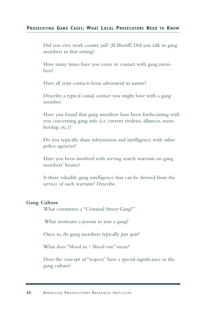#### **PROSECUTING GANG CASES: WHAT LOCAL PROSECUTORS NEED TO KNOW**

Did you ever work county jail? (If Sheriff) Did you talk to gang members in that setting?

How many times have you come in contact with gang members?

Have all your contacts been adversarial in nature?

Describe a typical casual contact you might have with a gang member.

Have you found that gang members have been forthcoming with you concerning gang info (i.e. current rivalries, alliances, membership, etc.)?

Do you typically share information and intelligence with other police agencies?

Have you been involved with serving search warrants on gang members' houses?

Is there valuable gang intelligence that can be derived from the service of such warrants? Describe.

#### **Gang Culture**

What constitutes a "Criminal Street Gang?"

What motivates a person to join a gang?

Once in, do gang members typically just quit?

What does "blood in / blood out" mean?

Does the concept of "respect" have a special significance in the gang culture?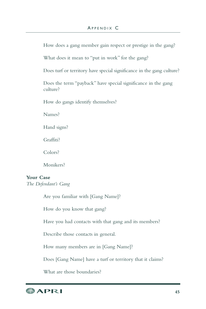How does a gang member gain respect or prestige in the gang?

What does it mean to "put in work" for the gang?

Does turf or territory have special significance in the gang culture?

Does the term "payback" have special significance in the gang culture?

How do gangs identify themselves?

Names?

Hand signs?

Graffiti?

Colors?

Monikers?

#### **Your Case**

*The Defendant's Gang*

Are you familiar with [Gang Name]?

How do you know that gang?

Have you had contacts with that gang and its members?

Describe those contacts in general.

How many members are in [Gang Name]?

Does [Gang Name] have a turf or territory that it claims?

What are those boundaries?

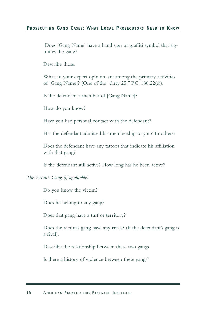Does [Gang Name] have a hand sign or graffiti symbol that signifies the gang?

Describe those.

What, in your expert opinion, are among the primary activities of [Gang Name]? (One of the "dirty 25;" P.C. 186.22(e)).

Is the defendant a member of [Gang Name]?

How do you know?

Have you had personal contact with the defendant?

Has the defendant admitted his membership to you? To others?

Does the defendant have any tattoos that indicate his affiliation with that gang?

Is the defendant still active? How long has he been active?

#### *The Victim's Gang (if applicable)*

Do you know the victim?

Does he belong to any gang?

Does that gang have a turf or territory?

Does the victim's gang have any rivals? (If the defendant's gang is a rival).

Describe the relationship between these two gangs.

Is there a history of violence between these gangs?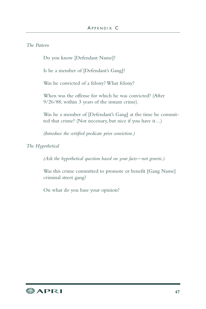*The Pattern*

Do you know [Defendant Name]?

Is he a member of [Defendant's Gang]?

Was he convicted of a felony? What felony?

When was the offense for which he was convicted? (After 9/26/88, within 3 years of the instant crime).

Was he a member of [Defendant's Gang] at the time he committed that crime? (Not necessary, but nice if you have it…)

*(Introduce the certified predicate prior conviction.)*

*The Hypothetical*

*(Ask the hypothetical question based on your facts—not generic.)*

Was this crime committed to promote or benefit [Gang Name] criminal street gang?

On what do you base your opinion?

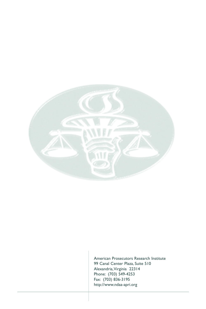

American Prosecutors Research Institute 99 Canal Center Plaza, Suite 510 Alexandria,Virginia 22314 Phone: (703) 549-4253 Fax: (703) 836-3195 http://www.ndaa-apri.org